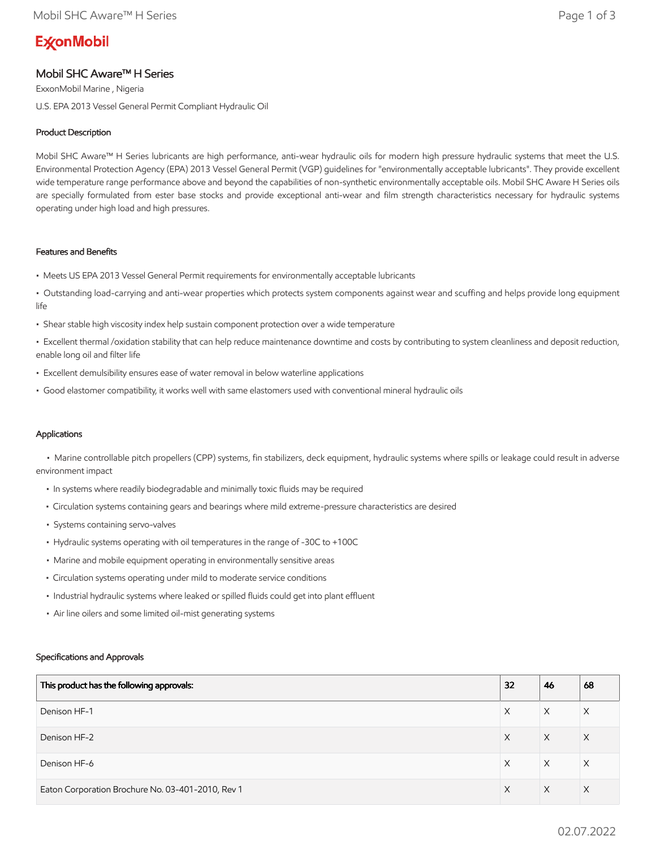# **ExconMobil**

# Mobil SHC Aware™ H Series

ExxonMobil Marine , Nigeria U.S. EPA 2013 Vessel General Permit Compliant Hydraulic Oil

# Product Description

Mobil SHC Aware™ H Series lubricants are high performance, anti-wear hydraulic oils for modern high pressure hydraulic systems that meet the U.S. Environmental Protection Agency (EPA) 2013 Vessel General Permit (VGP) guidelines for "environmentally acceptable lubricants". They provide excellent wide temperature range performance above and beyond the capabilities of non-synthetic environmentally acceptable oils. Mobil SHC Aware H Series oils are specially formulated from ester base stocks and provide exceptional anti-wear and film strength characteristics necessary for hydraulic systems operating under high load and high pressures.

## Features and Benefits

- Meets US EPA 2013 Vessel General Permit requirements for environmentally acceptable lubricants
- Outstanding load-carrying and anti-wear properties which protects system components against wear and scuffing and helps provide long equipment life
- Shear stable high viscosity index help sustain component protection over a wide temperature
- Excellent thermal /oxidation stability that can help reduce maintenance downtime and costs by contributing to system cleanliness and deposit reduction, enable long oil and filter life
- Excellent demulsibility ensures ease of water removal in below waterline applications
- Good elastomer compatibility, it works well with same elastomers used with conventional mineral hydraulic oils

# Applications

 • Marine controllable pitch propellers (CPP) systems, fin stabilizers, deck equipment, hydraulic systems where spills or leakage could result in adverse environment impact

- In systems where readily biodegradable and minimally toxic fluids may be required
- Circulation systems containing gears and bearings where mild extreme-pressure characteristics are desired
- Systems containing servo-valves
- Hydraulic systems operating with oil temperatures in the range of -30C to +100C
- Marine and mobile equipment operating in environmentally sensitive areas
- Circulation systems operating under mild to moderate service conditions
- Industrial hydraulic systems where leaked or spilled fluids could get into plant effluent
- Air line oilers and some limited oil-mist generating systems

## Specifications and Approvals

| This product has the following approvals:         | 32 | 46       | 68       |
|---------------------------------------------------|----|----------|----------|
| Denison HF-1                                      | X  | X        | Χ        |
| Denison HF-2                                      | X  | $\times$ | $\times$ |
| Denison HF-6                                      | X  | X        | X        |
| Eaton Corporation Brochure No. 03-401-2010, Rev 1 | X  | X        | X        |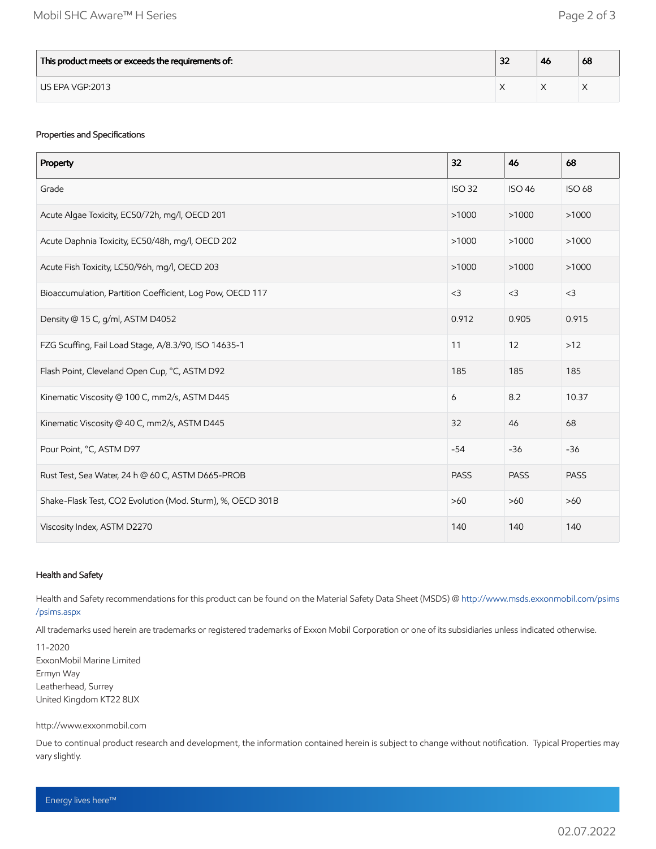| This product meets or exceeds the requirements of: | $\sim$<br>ж | -46 | 68 |
|----------------------------------------------------|-------------|-----|----|
| US EPA VGP:2013                                    |             |     |    |

# Properties and Specifications

| Property                                                   | 32            | 46            | 68            |
|------------------------------------------------------------|---------------|---------------|---------------|
| Grade                                                      | <b>ISO 32</b> | <b>ISO 46</b> | <b>ISO 68</b> |
| Acute Algae Toxicity, EC50/72h, mg/l, OECD 201             | >1000         | >1000         | >1000         |
| Acute Daphnia Toxicity, EC50/48h, mg/l, OECD 202           | >1000         | >1000         | >1000         |
| Acute Fish Toxicity, LC50/96h, mg/l, OECD 203              | >1000         | >1000         | >1000         |
| Bioaccumulation, Partition Coefficient, Log Pow, OECD 117  | $<$ 3         | $<$ 3         | $<$ 3         |
| Density @ 15 C, g/ml, ASTM D4052                           | 0.912         | 0.905         | 0.915         |
| FZG Scuffing, Fail Load Stage, A/8.3/90, ISO 14635-1       | 11            | 12            | $>12$         |
| Flash Point, Cleveland Open Cup, °C, ASTM D92              | 185           | 185           | 185           |
| Kinematic Viscosity @ 100 C, mm2/s, ASTM D445              | 6             | 8.2           | 10.37         |
| Kinematic Viscosity @ 40 C, mm2/s, ASTM D445               | 32            | 46            | 68            |
| Pour Point, °C, ASTM D97                                   | $-54$         | $-36$         | $-36$         |
| Rust Test, Sea Water, 24 h @ 60 C, ASTM D665-PROB          | <b>PASS</b>   | <b>PASS</b>   | <b>PASS</b>   |
| Shake-Flask Test, CO2 Evolution (Mod. Sturm), %, OECD 301B | $>60$         | $>60$         | $>60$         |
| Viscosity Index, ASTM D2270                                | 140           | 140           | 140           |

## Health and Safety

Health and Safety recommendations for this product can be found on the Material Safety Data Sheet (MSDS) @ [http://www.msds.exxonmobil.com/psims](http://www.msds.exxonmobil.com/psims/psims.aspx) /psims.aspx

All trademarks used herein are trademarks or registered trademarks of Exxon Mobil Corporation or one of its subsidiaries unless indicated otherwise.

11-2020 ExxonMobil Marine Limited Ermyn Way Leatherhead, Surrey United Kingdom KT22 8UX

#### http://www.exxonmobil.com

Due to continual product research and development, the information contained herein is subject to change without notification. Typical Properties may vary slightly.